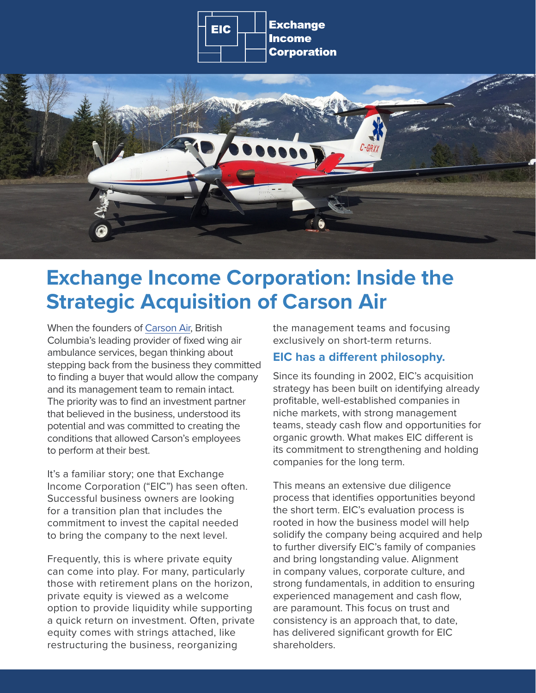



## **Exchange Income Corporation: Inside the Strategic Acquisition of Carson Air**

When the founders of [Carson Air](https://www.carsonair.com/), British Columbia's leading provider of fixed wing air ambulance services, began thinking about stepping back from the business they committed to finding a buyer that would allow the company and its management team to remain intact. The priority was to find an investment partner that believed in the business, understood its potential and was committed to creating the conditions that allowed Carson's employees to perform at their best.

It's a familiar story; one that Exchange Income Corporation ("EIC") has seen often. Successful business owners are looking for a transition plan that includes the commitment to invest the capital needed to bring the company to the next level.

Frequently, this is where private equity can come into play. For many, particularly those with retirement plans on the horizon, private equity is viewed as a welcome option to provide liquidity while supporting a quick return on investment. Often, private equity comes with strings attached, like restructuring the business, reorganizing

the management teams and focusing exclusively on short-term returns.

## **EIC has a different philosophy.**

Since its founding in 2002, EIC's acquisition strategy has been built on identifying already profitable, well-established companies in niche markets, with strong management teams, steady cash flow and opportunities for organic growth. What makes EIC different is its commitment to strengthening and holding companies for the long term.

This means an extensive due diligence process that identifies opportunities beyond the short term. EIC's evaluation process is rooted in how the business model will help solidify the company being acquired and help to further diversify EIC's family of companies and bring longstanding value. Alignment in company values, corporate culture, and strong fundamentals, in addition to ensuring experienced management and cash flow, are paramount. This focus on trust and consistency is an approach that, to date, has delivered significant growth for EIC shareholders.